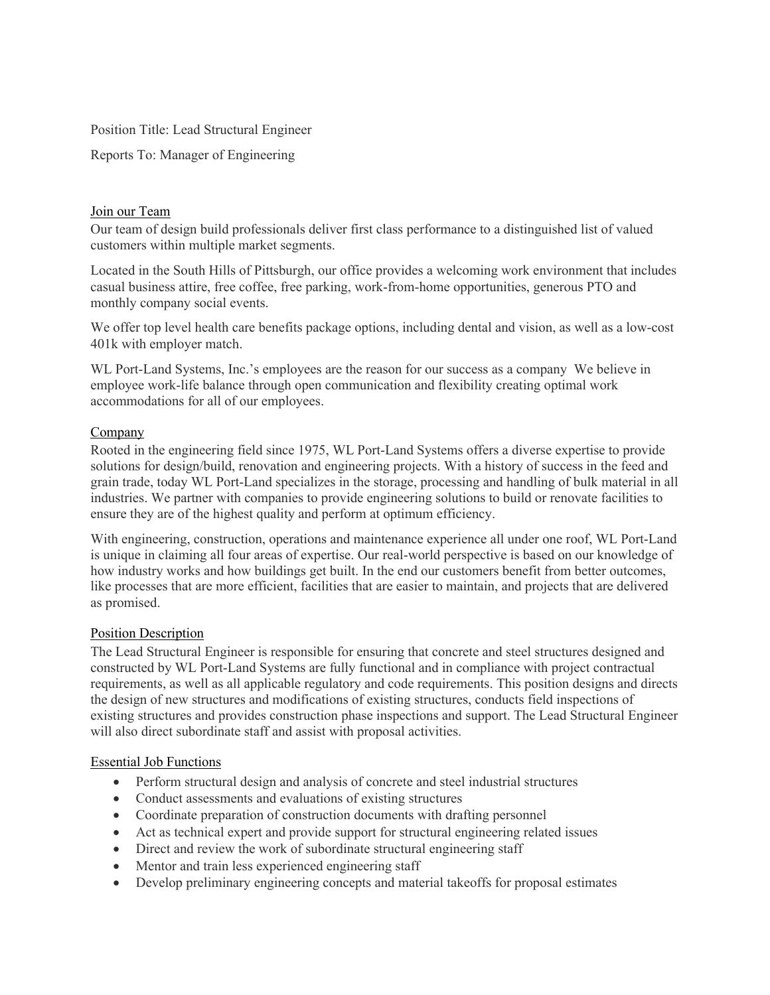Position Title: Lead Structural Engineer

Reports To: Manager of Engineering

## Join our Team

Our team of design build professionals deliver first class performance to a distinguished list of valued customers within multiple market segments.

Located in the South Hills of Pittsburgh, our office provides a welcoming work environment that includes casual business attire, free coffee, free parking, work-from-home opportunities, generous PTO and monthly company social events.

We offer top level health care benefits package options, including dental and vision, as well as a low-cost 401k with employer match.

WL Port-Land Systems, Inc.'s employees are the reason for our success as a company We believe in employee work-life balance through open communication and flexibility creating optimal work accommodations for all of our employees.

# Company

Rooted in the engineering field since 1975, WL Port-Land Systems offers a diverse expertise to provide solutions for design/build, renovation and engineering projects. With a history of success in the feed and grain trade, today WL Port-Land specializes in the storage, processing and handling of bulk material in all industries. We partner with companies to provide engineering solutions to build or renovate facilities to ensure they are of the highest quality and perform at optimum efficiency.

With engineering, construction, operations and maintenance experience all under one roof, WL Port-Land is unique in claiming all four areas of expertise. Our real-world perspective is based on our knowledge of how industry works and how buildings get built. In the end our customers benefit from better outcomes, like processes that are more efficient, facilities that are easier to maintain, and projects that are delivered as promised.

### Position Description

The Lead Structural Engineer is responsible for ensuring that concrete and steel structures designed and constructed by WL Port-Land Systems are fully functional and in compliance with project contractual requirements, as well as all applicable regulatory and code requirements. This position designs and directs the design of new structures and modifications of existing structures, conducts field inspections of existing structures and provides construction phase inspections and support. The Lead Structural Engineer will also direct subordinate staff and assist with proposal activities.

### Essential Job Functions

- Perform structural design and analysis of concrete and steel industrial structures
- Conduct assessments and evaluations of existing structures
- Coordinate preparation of construction documents with drafting personnel
- Act as technical expert and provide support for structural engineering related issues
- Direct and review the work of subordinate structural engineering staff
- Mentor and train less experienced engineering staff
- Develop preliminary engineering concepts and material takeoffs for proposal estimates